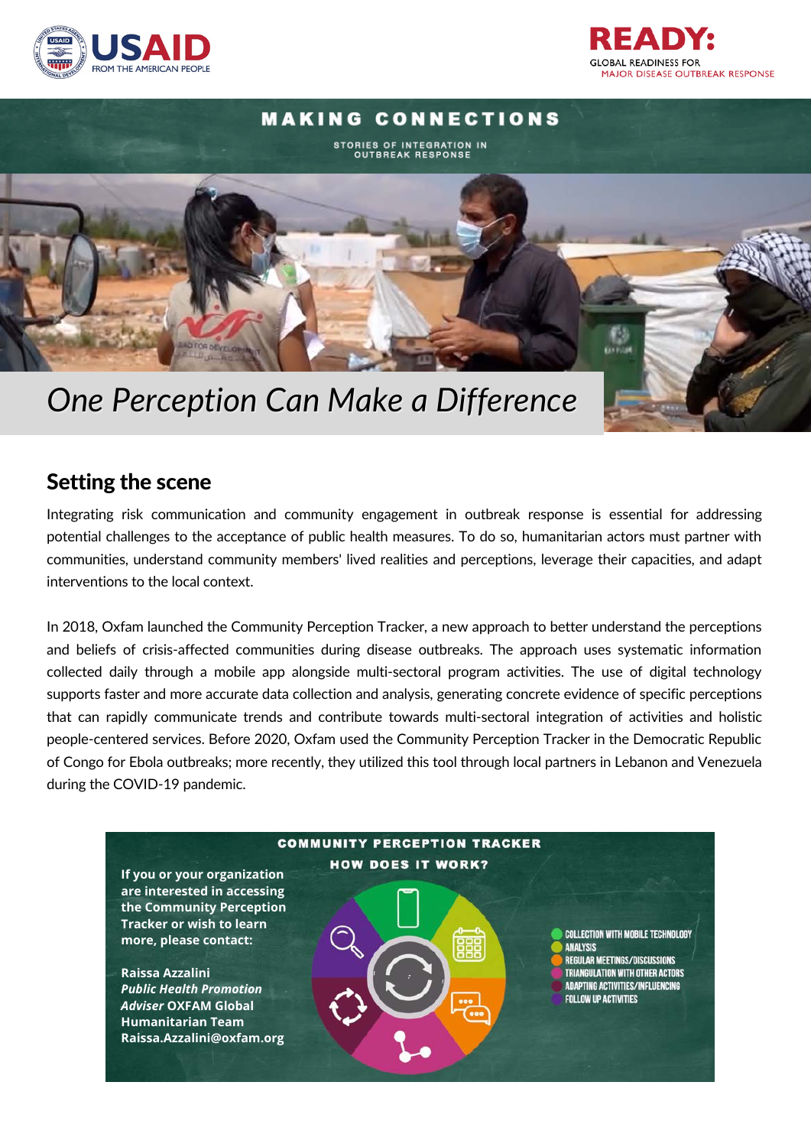





## Setting the scene

Integrating risk communication and community engagement in outbreak response is essential for addressing potential challenges to the acceptance of public health measures. To do so, humanitarian actors must partner with communities, understand community members' lived realities and perceptions, leverage their capacities, and adapt interventions to the local context.

In 2018, Oxfam launched the Community Perception Tracker, a new approach to better understand the perceptions and beliefs of crisis-affected communities during disease outbreaks. The approach uses systematic information collected daily through a mobile app alongside multi-sectoral program activities. The use of digital technology supports faster and more accurate data collection and analysis, generating concrete evidence of specific perceptions that can rapidly communicate trends and contribute towards multi-sectoral integration of activities and holistic people-centered services. Before 2020, Oxfam used the Community Perception Tracker in the Democratic Republic of Congo for Ebola outbreaks; more recently, they utilized this tool through local partners in Lebanon and Venezuela during the COVID-19 pandemic.

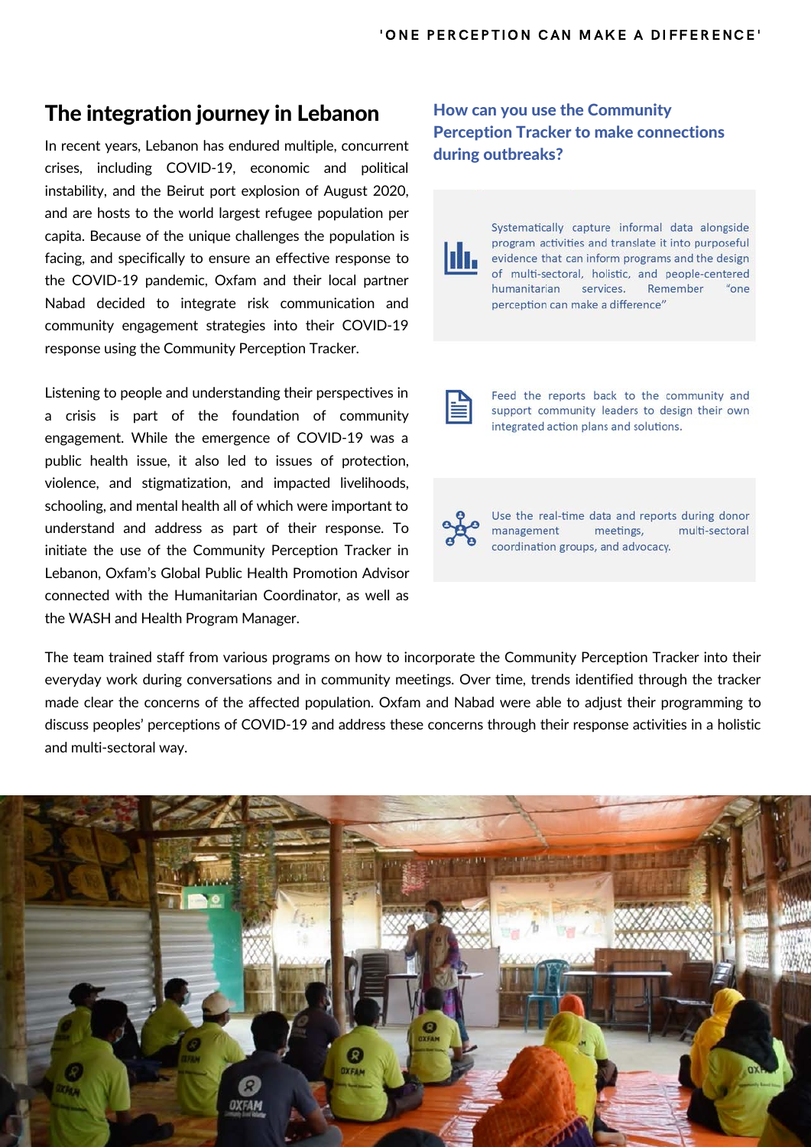## The integration journey in Lebanon

In recent years, Lebanon has endured multiple, concurrent crises, including COVID-19, economic and political instability, and the Beirut port explosion of August 2020, and are hosts to the world largest refugee population per capita. Because of the unique challenges the population is facing, and specifically to ensure an effective response to the COVID-19 pandemic, Oxfam and their local partner Nabad decided to integrate risk communication and community engagement strategies into their COVID-19 response using the Community Perception Tracker.

Listening to people and understanding their perspectives in a crisis is part of the foundation of community engagement. While the emergence of COVID-19 was a public health issue, it also led to issues of protection, violence, and stigmatization, and impacted livelihoods, schooling, and mental health all of which were important to understand and address as part of their response. To initiate the use of the Community Perception Tracker in Lebanon, Oxfam's Global Public Health Promotion Advisor connected with the Humanitarian Coordinator, as well as the WASH and Health Program Manager.

How can you use the Community Perception Tracker to make connections during outbreaks?

Systematically capture informal data alongside program activities and translate it into purposeful llı. evidence that can inform programs and the design of multi-sectoral, holistic, and people-centered humanitarian services. Remember "one perception can make a difference"

Feed the reports back to the community and support community leaders to design their own integrated action plans and solutions.

Use the real-time data and reports during donor management meetings, multi-sectoral coordination groups, and advocacy.

The team trained staff from various programs on how to incorporate the Community Perception Tracker into their everyday work during conversations and in community meetings. Over time, trends identified through the tracker made clear the concerns of the affected population. Oxfam and Nabad were able to adjust their programming to discuss peoples' perceptions of COVID-19 and address these concerns through their response activities in a holistic and multi-sectoral way.